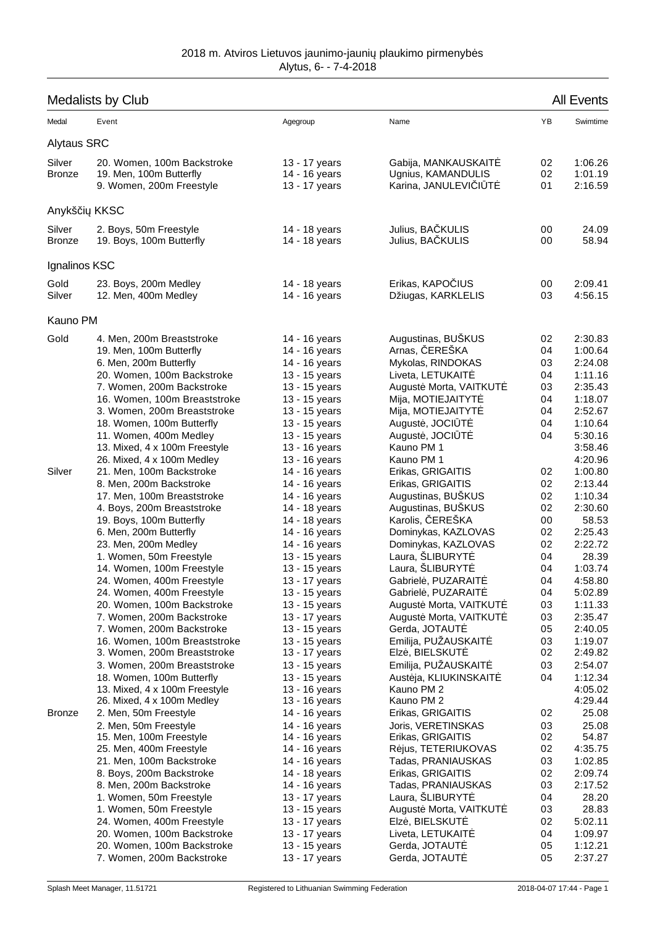| <b>Medalists by Club</b> |                                                                                                                                                                                                                                                                                                                                          |                                                                                                                                                                                                          | <b>All Events</b>                                                                                                                                                                                                                                      |                                                                      |                                                                                                                        |
|--------------------------|------------------------------------------------------------------------------------------------------------------------------------------------------------------------------------------------------------------------------------------------------------------------------------------------------------------------------------------|----------------------------------------------------------------------------------------------------------------------------------------------------------------------------------------------------------|--------------------------------------------------------------------------------------------------------------------------------------------------------------------------------------------------------------------------------------------------------|----------------------------------------------------------------------|------------------------------------------------------------------------------------------------------------------------|
| Medal                    | Event                                                                                                                                                                                                                                                                                                                                    | Agegroup                                                                                                                                                                                                 | Name                                                                                                                                                                                                                                                   | YB                                                                   | Swimtime                                                                                                               |
| <b>Alytaus SRC</b>       |                                                                                                                                                                                                                                                                                                                                          |                                                                                                                                                                                                          |                                                                                                                                                                                                                                                        |                                                                      |                                                                                                                        |
| Silver<br><b>Bronze</b>  | 20. Women, 100m Backstroke<br>19. Men, 100m Butterfly<br>9. Women, 200m Freestyle                                                                                                                                                                                                                                                        | 13 - 17 years<br>14 - 16 years<br>13 - 17 years                                                                                                                                                          | Gabija, MANKAUSKAIT<br>Ugnius, KAMANDULIS<br>Karina, JANULEVI I T                                                                                                                                                                                      | 02<br>02<br>01                                                       | 1:06.26<br>1:01.19<br>2:16.59                                                                                          |
| Anykš i                  | <b>KKSC</b>                                                                                                                                                                                                                                                                                                                              |                                                                                                                                                                                                          |                                                                                                                                                                                                                                                        |                                                                      |                                                                                                                        |
| Silver<br><b>Bronze</b>  | 2. Boys, 50m Freestyle<br>19. Boys, 100m Butterfly                                                                                                                                                                                                                                                                                       | 14 - 18 years<br>14 - 18 years                                                                                                                                                                           | Julius, BA KULIS<br>Julius, BA KULIS                                                                                                                                                                                                                   | 00<br>00                                                             | 24.09<br>58.94                                                                                                         |
| Ignalinos KSC            |                                                                                                                                                                                                                                                                                                                                          |                                                                                                                                                                                                          |                                                                                                                                                                                                                                                        |                                                                      |                                                                                                                        |
| Gold<br>Silver           | 23. Boys, 200m Medley<br>12. Men, 400m Medley                                                                                                                                                                                                                                                                                            | 14 - 18 years<br>14 - 16 years                                                                                                                                                                           | Erikas, KAPO IUS<br>Džiugas, KARKLELIS                                                                                                                                                                                                                 | 00<br>03                                                             | 2:09.41<br>4:56.15                                                                                                     |
| Kauno PM                 |                                                                                                                                                                                                                                                                                                                                          |                                                                                                                                                                                                          |                                                                                                                                                                                                                                                        |                                                                      |                                                                                                                        |
| Gold                     | 4. Men, 200m Breaststroke<br>19. Men, 100m Butterfly<br>6. Men, 200m Butterfly<br>20. Women, 100m Backstroke<br>7. Women, 200m Backstroke<br>16. Women, 100m Breaststroke                                                                                                                                                                | 14 - 16 years<br>14 - 16 years<br>14 - 16 years<br>13 - 15 years<br>13 - 15 years<br>13 - 15 years                                                                                                       | Augustinas, BUŠKUS<br>Arnas, EREŠKA<br>Mykolas, RINDOKAS<br>Liveta, LETUKAIT<br>August Morta, VAITKUT<br>Mija, MOTIEJAITYT                                                                                                                             | 02<br>04<br>03<br>04<br>03<br>04                                     | 2:30.83<br>1:00.64<br>2:24.08<br>1:11.16<br>2:35.43<br>1:18.07                                                         |
| Silver                   | 3. Women, 200m Breaststroke<br>18. Women, 100m Butterfly<br>11. Women, 400m Medley<br>13. Mixed, 4 x 100m Freestyle<br>26. Mixed, 4 x 100m Medley<br>21. Men, 100m Backstroke                                                                                                                                                            | 13 - 15 years<br>13 - 15 years<br>13 - 15 years<br>13 - 16 years<br>13 - 16 years<br>14 - 16 years                                                                                                       | Mija, MOTIEJAITYT<br>August, JOCI T<br>August, JOCI T<br>Kauno PM 1<br>Kauno PM 1<br>Erikas, GRIGAITIS                                                                                                                                                 | 04<br>04<br>04<br>02                                                 | 2:52.67<br>1:10.64<br>5:30.16<br>3:58.46<br>4:20.96<br>1:00.80                                                         |
|                          | 8. Men, 200m Backstroke<br>17. Men, 100m Breaststroke<br>4. Boys, 200m Breaststroke<br>19. Boys, 100m Butterfly<br>6. Men, 200m Butterfly<br>23. Men, 200m Medley<br>1. Women, 50m Freestyle<br>14. Women, 100m Freestyle                                                                                                                | 14 - 16 years<br>14 - 16 years<br>14 - 18 years<br>14 - 18 years<br>14 - 16 years<br>14 - 16 years<br>13 - 15 years<br>13 - 15 years                                                                     | Erikas, GRIGAITIS<br>Augustinas, BUŠKUS<br>Augustinas, BUŠKUS<br>Karolis, EREŠKA<br>Dominykas, KAZLOVAS<br>Dominykas, KAZLOVAS<br>Laura, ŠLIBURYT<br>Laura, ŠLIBURYT                                                                                   | 02<br>02<br>02<br>00<br>02<br>02<br>04<br>04                         | 2:13.44<br>1:10.34<br>2:30.60<br>58.53<br>2:25.43<br>2:22.72<br>28.39<br>1:03.74                                       |
|                          | 24. Women, 400m Freestyle<br>24. Women, 400m Freestyle<br>20. Women, 100m Backstroke<br>7. Women, 200m Backstroke<br>7. Women, 200m Backstroke<br>16. Women, 100m Breaststroke<br>3. Women, 200m Breaststroke<br>3. Women, 200m Breaststroke<br>18. Women, 100m Butterfly<br>13. Mixed, 4 x 100m Freestyle<br>26. Mixed, 4 x 100m Medley | 13 - 17 years<br>13 - 15 years<br>13 - 15 years<br>13 - 17 years<br>13 - 15 years<br>13 - 15 years<br>13 - 17 years<br>13 - 15 years<br>13 - 15 years<br>13 - 16 years<br>13 - 16 years                  | Gabriel, PUZARAIT<br>Gabriel, PUZARAIT<br>August Morta, VAITKUT<br>August Morta, VAITKUT<br>Gerda, JOTAUT<br>Emilija, PUŽAUSKAIT<br>Elz, BIELSKUT<br>Emilija, PUŽAUSKAIT<br>Aust ja, KLIUKINSKAIT<br>Kauno PM 2<br>Kauno PM 2                          | 04<br>04<br>03<br>03<br>05<br>03<br>02<br>03<br>04                   | 4:58.80<br>5:02.89<br>1:11.33<br>2:35.47<br>2:40.05<br>1:19.07<br>2:49.82<br>2:54.07<br>1:12.34<br>4:05.02<br>4:29.44  |
| <b>Bronze</b>            | 2. Men, 50m Freestyle<br>2. Men, 50m Freestyle<br>15. Men, 100m Freestyle<br>25. Men, 400m Freestyle<br>21. Men, 100m Backstroke<br>8. Boys, 200m Backstroke<br>8. Men, 200m Backstroke<br>1. Women, 50m Freestyle<br>1. Women, 50m Freestyle<br>24. Women, 400m Freestyle<br>20. Women, 100m Backstroke<br>20. Women, 100m Backstroke   | 14 - 16 years<br>14 - 16 years<br>14 - 16 years<br>14 - 16 years<br>14 - 16 years<br>14 - 18 years<br>14 - 16 years<br>13 - 17 years<br>13 - 15 years<br>13 - 17 years<br>13 - 17 years<br>13 - 15 years | Erikas, GRIGAITIS<br>Joris, VERETINSKAS<br>Erikas, GRIGAITIS<br>R jus, TETERIUKOVAS<br>Tadas, PRANIAUSKAS<br>Erikas, GRIGAITIS<br>Tadas, PRANIAUSKAS<br>Laura, ŠLIBURYT<br>August Morta, VAITKUT<br>Elz, BIELSKUT<br>Liveta, LETUKAIT<br>Gerda, JOTAUT | 02<br>03<br>02<br>02<br>03<br>02<br>03<br>04<br>03<br>02<br>04<br>05 | 25.08<br>25.08<br>54.87<br>4:35.75<br>1:02.85<br>2:09.74<br>2:17.52<br>28.20<br>28.83<br>5:02.11<br>1:09.97<br>1:12.21 |
|                          | 7. Women, 200m Backstroke                                                                                                                                                                                                                                                                                                                | 13 - 17 years                                                                                                                                                                                            | Gerda, JOTAUT                                                                                                                                                                                                                                          | 05                                                                   | 2:37.27                                                                                                                |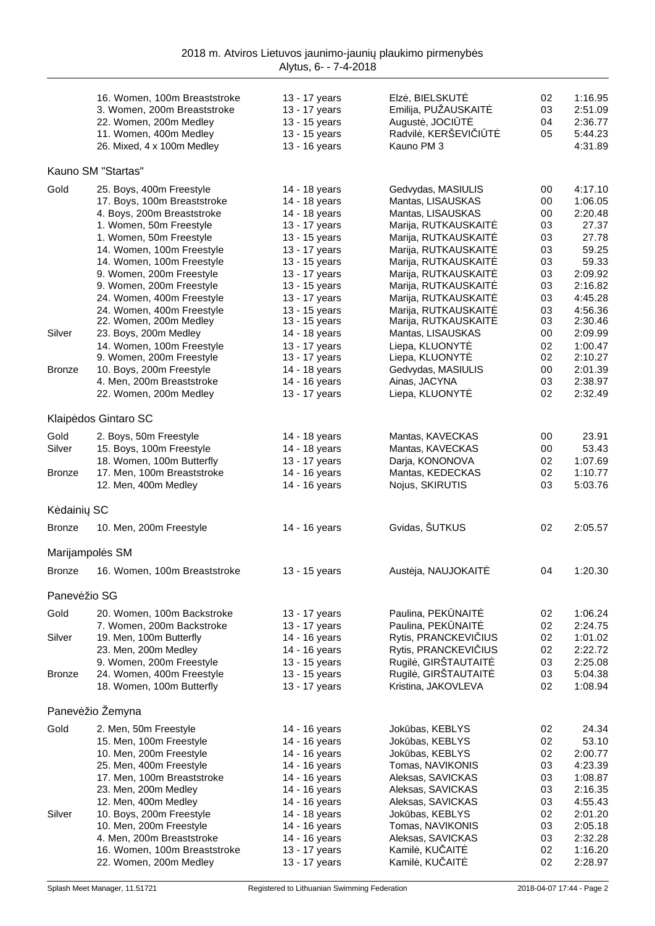|               | 16. Women, 100m Breaststroke<br>3. Women, 200m Breaststroke<br>22. Women, 200m Medley<br>11. Women, 400m Medley | 13 - 17 years<br>13 - 17 years<br>13 - 15 years<br>13 - 15 years | Elz, BIELSKUT<br>Emilija, PUŽAUSKAIT<br>August, JOCI T<br>Radvil, KERŠEVI I T | 02<br>03<br>04<br>05 | 1:16.95<br>2:51.09<br>2:36.77<br>5:44.23 |
|---------------|-----------------------------------------------------------------------------------------------------------------|------------------------------------------------------------------|-------------------------------------------------------------------------------|----------------------|------------------------------------------|
|               | 26. Mixed, 4 x 100m Medley                                                                                      | 13 - 16 years                                                    | Kauno PM 3                                                                    |                      | 4:31.89                                  |
|               | Kauno SM "Startas"                                                                                              |                                                                  |                                                                               |                      |                                          |
| Gold          | 25. Boys, 400m Freestyle                                                                                        | 14 - 18 years                                                    | Gedvydas, MASIULIS                                                            | 00                   | 4:17.10                                  |
|               | 17. Boys, 100m Breaststroke                                                                                     | 14 - 18 years                                                    | Mantas, LISAUSKAS                                                             | 00                   | 1:06.05                                  |
|               | 4. Boys, 200m Breaststroke                                                                                      | 14 - 18 years                                                    | Mantas, LISAUSKAS                                                             | 00                   | 2:20.48                                  |
|               | 1. Women, 50m Freestyle<br>1. Women, 50m Freestyle                                                              | 13 - 17 years<br>13 - 15 years                                   | Marija, RUTKAUSKAIT<br>Marija, RUTKAUSKAIT                                    | 03<br>03             | 27.37<br>27.78                           |
|               | 14. Women, 100m Freestyle                                                                                       | 13 - 17 years                                                    | Marija, RUTKAUSKAIT                                                           | 03                   | 59.25                                    |
|               | 14. Women, 100m Freestyle                                                                                       | 13 - 15 years                                                    | Marija, RUTKAUSKAIT                                                           | 03                   | 59.33                                    |
|               | 9. Women, 200m Freestyle                                                                                        | 13 - 17 years                                                    | Marija, RUTKAUSKAIT                                                           | 03                   | 2:09.92                                  |
|               | 9. Women, 200m Freestyle                                                                                        | 13 - 15 years                                                    | Marija, RUTKAUSKAIT                                                           | 03                   | 2:16.82                                  |
|               | 24. Women, 400m Freestyle                                                                                       | 13 - 17 years                                                    | Marija, RUTKAUSKAIT                                                           | 03                   | 4:45.28                                  |
|               | 24. Women, 400m Freestyle<br>22. Women, 200m Medley                                                             | 13 - 15 years<br>13 - 15 years                                   | Marija, RUTKAUSKAIT<br>Marija, RUTKAUSKAIT                                    | 03<br>03             | 4:56.36<br>2:30.46                       |
| Silver        | 23. Boys, 200m Medley                                                                                           | 14 - 18 years                                                    | Mantas, LISAUSKAS                                                             | 00                   | 2:09.99                                  |
|               | 14. Women, 100m Freestyle                                                                                       | 13 - 17 years                                                    | Liepa, KLUONYT                                                                | 02                   | 1:00.47                                  |
|               | 9. Women, 200m Freestyle                                                                                        | 13 - 17 years                                                    | Liepa, KLUONYT                                                                | 02                   | 2:10.27                                  |
| <b>Bronze</b> | 10. Boys, 200m Freestyle                                                                                        | 14 - 18 years                                                    | Gedvydas, MASIULIS                                                            | 00                   | 2:01.39                                  |
|               | 4. Men, 200m Breaststroke                                                                                       | 14 - 16 years                                                    | Ainas, JACYNA                                                                 | 03                   | 2:38.97                                  |
|               | 22. Women, 200m Medley                                                                                          | 13 - 17 years                                                    | Liepa, KLUONYT                                                                | 02                   | 2:32.49                                  |
|               | Klaip dos Gintaro SC                                                                                            |                                                                  |                                                                               |                      |                                          |
| Gold          | 2. Boys, 50m Freestyle                                                                                          | 14 - 18 years                                                    | Mantas, KAVECKAS                                                              | 00                   | 23.91                                    |
| Silver        | 15. Boys, 100m Freestyle                                                                                        | 14 - 18 years                                                    | Mantas, KAVECKAS                                                              | 00                   | 53.43                                    |
| <b>Bronze</b> | 18. Women, 100m Butterfly<br>17. Men, 100m Breaststroke                                                         | 13 - 17 years<br>14 - 16 years                                   | Darja, KONONOVA<br>Mantas, KEDECKAS                                           | 02<br>02             | 1:07.69<br>1:10.77                       |
|               | 12. Men, 400m Medley                                                                                            | 14 - 16 years                                                    | Nojus, SKIRUTIS                                                               | 03                   | 5:03.76                                  |
| K daini SC    |                                                                                                                 |                                                                  |                                                                               |                      |                                          |
| <b>Bronze</b> | 10. Men, 200m Freestyle                                                                                         | 14 - 16 years                                                    | Gvidas, ŠUTKUS                                                                | 02                   | 2:05.57                                  |
|               | Marijampol s SM                                                                                                 |                                                                  |                                                                               |                      |                                          |
| <b>Bronze</b> | 16. Women, 100m Breaststroke                                                                                    | 13 - 15 years                                                    | Aust ja, NAUJOKAIT                                                            | 04                   | 1:20.30                                  |
|               |                                                                                                                 |                                                                  |                                                                               |                      |                                          |
| Panev žio SG  |                                                                                                                 |                                                                  |                                                                               |                      |                                          |
| Gold          | 20. Women, 100m Backstroke<br>7. Women, 200m Backstroke                                                         | 13 - 17 years<br>13 - 17 years                                   | Paulina, PEK NAIT<br>Paulina, PEK NAIT                                        | 02<br>02             | 1:06.24<br>2:24.75                       |
| Silver        | 19. Men, 100m Butterfly                                                                                         | 14 - 16 years                                                    | Rytis, PRANCKEVI IUS                                                          | 02                   | 1:01.02                                  |
|               | 23. Men, 200m Medley                                                                                            | 14 - 16 years                                                    | Rytis, PRANCKEVI IUS                                                          | 02                   | 2:22.72                                  |
|               | 9. Women, 200m Freestyle                                                                                        | 13 - 15 years                                                    | Rugil, GIRŠTAUTAIT                                                            | 03                   | 2:25.08                                  |
| <b>Bronze</b> | 24. Women, 400m Freestyle                                                                                       | 13 - 15 years                                                    | Rugil, GIRŠTAUTAIT                                                            | 03                   | 5:04.38                                  |
|               | 18. Women, 100m Butterfly                                                                                       | 13 - 17 years                                                    | Kristina, JAKOVLEVA                                                           | 02                   | 1:08.94                                  |
|               | Panev žio Žemyna                                                                                                |                                                                  |                                                                               |                      |                                          |
| Gold          | 2. Men, 50m Freestyle                                                                                           | 14 - 16 years                                                    | Jok bas, KEBLYS                                                               | 02                   | 24.34                                    |
|               | 15. Men, 100m Freestyle                                                                                         | 14 - 16 years                                                    | Jok bas, KEBLYS                                                               | 02                   | 53.10                                    |
|               | 10. Men, 200m Freestyle<br>25. Men, 400m Freestyle                                                              | 14 - 16 years<br>14 - 16 years                                   | Jok bas, KEBLYS<br>Tomas, NAVIKONIS                                           | 02<br>03             | 2:00.77<br>4:23.39                       |
|               | 17. Men, 100m Breaststroke                                                                                      | 14 - 16 years                                                    | Aleksas, SAVICKAS                                                             | 03                   | 1:08.87                                  |
|               | 23. Men, 200m Medley                                                                                            | 14 - 16 years                                                    | Aleksas, SAVICKAS                                                             | 03                   | 2:16.35                                  |
|               | 12. Men, 400m Medley                                                                                            | 14 - 16 years                                                    | Aleksas, SAVICKAS                                                             | 03                   | 4:55.43                                  |
| Silver        | 10. Boys, 200m Freestyle                                                                                        | 14 - 18 years                                                    | Jok bas, KEBLYS                                                               | 02                   | 2:01.20                                  |
|               | 10. Men, 200m Freestyle                                                                                         | 14 - 16 years                                                    | Tomas, NAVIKONIS                                                              | 03                   | 2:05.18                                  |
|               | 4. Men, 200m Breaststroke<br>16. Women, 100m Breaststroke                                                       | 14 - 16 years<br>13 - 17 years                                   | Aleksas, SAVICKAS<br>Kamil, KU AIT                                            | 03<br>02             | 2:32.28<br>1:16.20                       |
|               | 22. Women, 200m Medley                                                                                          | 13 - 17 years                                                    | Kamil, KU AIT                                                                 | 02                   | 2:28.97                                  |